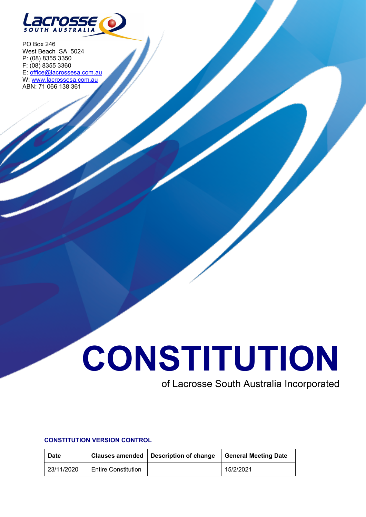

PO Box 246 West Beach SA 5024 P: (08) 8355 3350 F: (08) 8355 3360 E: [office@lacrossesa.com.au](mailto:office@lacrossesa.com.au) W: [www.lacrossesa.com.au](http://www.lacrossesa.com.au/) ABN: 71 066 138 361

# **CONSTITUTION**

# of Lacrosse South Australia Incorporated

# **CONSTITUTION VERSION CONTROL**

| <b>Date</b> |                            | Clauses amended   Description of change | <b>General Meeting Date</b> |
|-------------|----------------------------|-----------------------------------------|-----------------------------|
| 23/11/2020  | <b>Entire Constitution</b> |                                         | 15/2/2021                   |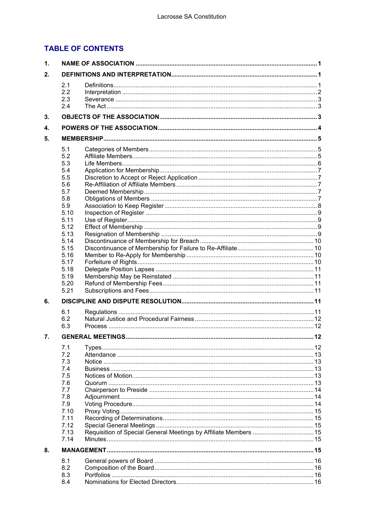# **TABLE OF CONTENTS**

| 1. |              |                                                                  |  |  |  |
|----|--------------|------------------------------------------------------------------|--|--|--|
| 2. |              |                                                                  |  |  |  |
|    | 2.1          |                                                                  |  |  |  |
|    | 2.2          |                                                                  |  |  |  |
|    | 2.3          |                                                                  |  |  |  |
|    | 2.4          |                                                                  |  |  |  |
| 3. |              |                                                                  |  |  |  |
| 4. |              |                                                                  |  |  |  |
| 5. |              |                                                                  |  |  |  |
|    |              |                                                                  |  |  |  |
|    | 5.1<br>5.2   |                                                                  |  |  |  |
|    | 5.3          |                                                                  |  |  |  |
|    | 5.4          |                                                                  |  |  |  |
|    | 5.5          |                                                                  |  |  |  |
|    | 5.6          |                                                                  |  |  |  |
|    | 5.7          |                                                                  |  |  |  |
|    | 5.8          |                                                                  |  |  |  |
|    | 5.9          |                                                                  |  |  |  |
|    | 5.10         |                                                                  |  |  |  |
|    | 5.11         |                                                                  |  |  |  |
|    | 5.12         |                                                                  |  |  |  |
|    | 5.13<br>5.14 |                                                                  |  |  |  |
|    | 5.15         |                                                                  |  |  |  |
|    | 5.16         |                                                                  |  |  |  |
|    | 5.17         |                                                                  |  |  |  |
|    | 5.18         |                                                                  |  |  |  |
|    | 5.19         |                                                                  |  |  |  |
|    | 5.20         |                                                                  |  |  |  |
|    | 5.21         |                                                                  |  |  |  |
| 6. |              |                                                                  |  |  |  |
|    | 6.1          |                                                                  |  |  |  |
|    | 6.2          |                                                                  |  |  |  |
|    | 6.3          |                                                                  |  |  |  |
| 7. |              |                                                                  |  |  |  |
|    | 7.1          |                                                                  |  |  |  |
|    | 7.2          |                                                                  |  |  |  |
|    | 7.3          |                                                                  |  |  |  |
|    | 7.4          |                                                                  |  |  |  |
|    | 7.5          |                                                                  |  |  |  |
|    | 7.6          |                                                                  |  |  |  |
|    | 7.7          |                                                                  |  |  |  |
|    | 7.8<br>7.9   |                                                                  |  |  |  |
|    | 7.10         |                                                                  |  |  |  |
|    | 7.11         |                                                                  |  |  |  |
|    | 7.12         |                                                                  |  |  |  |
|    | 7.13         | Requisition of Special General Meetings by Affiliate Members  15 |  |  |  |
|    | 7.14         |                                                                  |  |  |  |
| 8. |              |                                                                  |  |  |  |
|    | 8.1          |                                                                  |  |  |  |
|    | 8.2          |                                                                  |  |  |  |
|    | 8.3          |                                                                  |  |  |  |
|    | 8.4          |                                                                  |  |  |  |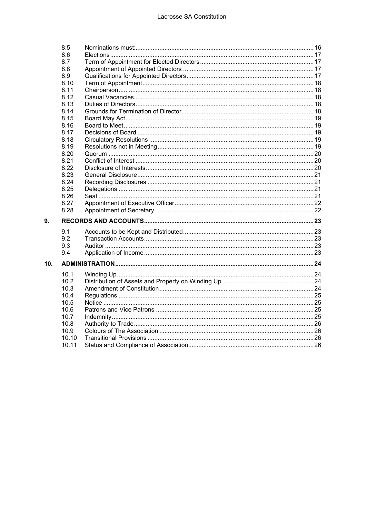|                 | 8.5   |  |  |  |  |
|-----------------|-------|--|--|--|--|
|                 | 8.6   |  |  |  |  |
|                 | 8.7   |  |  |  |  |
|                 | 8.8   |  |  |  |  |
|                 | 8.9   |  |  |  |  |
|                 | 8.10  |  |  |  |  |
|                 | 8.11  |  |  |  |  |
|                 | 8.12  |  |  |  |  |
|                 | 8.13  |  |  |  |  |
|                 | 8.14  |  |  |  |  |
|                 | 8.15  |  |  |  |  |
|                 | 8.16  |  |  |  |  |
|                 | 8.17  |  |  |  |  |
|                 | 8.18  |  |  |  |  |
|                 | 8.19  |  |  |  |  |
|                 | 8.20  |  |  |  |  |
|                 | 8.21  |  |  |  |  |
|                 | 8.22  |  |  |  |  |
|                 | 8.23  |  |  |  |  |
|                 | 8.24  |  |  |  |  |
|                 | 8.25  |  |  |  |  |
|                 | 8.26  |  |  |  |  |
|                 | 8.27  |  |  |  |  |
|                 | 8.28  |  |  |  |  |
| 9.              |       |  |  |  |  |
|                 | 9.1   |  |  |  |  |
|                 | 9.2   |  |  |  |  |
|                 | 9.3   |  |  |  |  |
|                 | 9.4   |  |  |  |  |
| 10 <sub>1</sub> |       |  |  |  |  |
|                 | 10.1  |  |  |  |  |
|                 | 10.2  |  |  |  |  |
|                 | 10.3  |  |  |  |  |
|                 | 10.4  |  |  |  |  |
|                 | 10.5  |  |  |  |  |
|                 | 10.6  |  |  |  |  |
|                 | 10.7  |  |  |  |  |
|                 | 10.8  |  |  |  |  |
|                 | 10.9  |  |  |  |  |
|                 | 10.10 |  |  |  |  |
|                 | 10.11 |  |  |  |  |
|                 |       |  |  |  |  |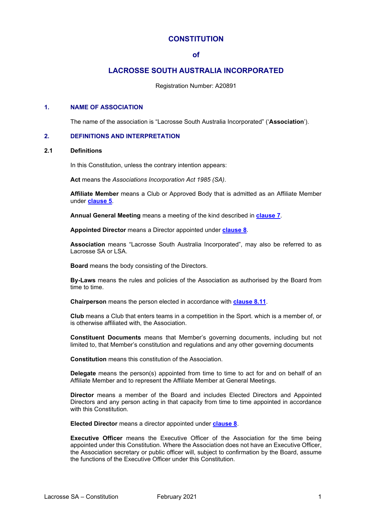# **CONSTITUTION**

#### **of**

# **LACROSSE SOUTH AUSTRALIA INCORPORATED**

Registration Number: A20891

#### <span id="page-3-0"></span>**1. NAME OF ASSOCIATION**

The name of the association is "Lacrosse South Australia Incorporated" ('**Association**').

#### <span id="page-3-1"></span>**2. DEFINITIONS AND INTERPRETATION**

#### <span id="page-3-2"></span>**2.1 Definitions**

In this Constitution, unless the contrary intention appears:

**Act** means the *Associations Incorporation Act 1985 (SA)*.

**Affiliate Member** means a Club or Approved Body that is admitted as an Affiliate Member under **[clause 5](#page-7-0)**.

**Annual General Meeting** means a meeting of the kind described in **[clause 7](#page-14-2)**.

**Appointed Director** means a Director appointed under **[clause 8](#page-17-5)**.

**Association** means "Lacrosse South Australia Incorporated", may also be referred to as Lacrosse SA or LSA.

**Board** means the body consisting of the Directors.

**By-Laws** means the rules and policies of the Association as authorised by the Board from time to time.

**Chairperson** means the person elected in accordance with **[clause 8.11](#page-20-1)**.

**Club** means a Club that enters teams in a competition in the Sport. which is a member of, or is otherwise affiliated with, the Association.

**Constituent Documents** means that Member's governing documents, including but not limited to, that Member's constitution and regulations and any other governing documents

**Constitution** means this constitution of the Association.

**Delegate** means the person(s) appointed from time to time to act for and on behalf of an Affiliate Member and to represent the Affiliate Member at General Meetings.

**Director** means a member of the Board and includes Elected Directors and Appointed Directors and any person acting in that capacity from time to time appointed in accordance with this Constitution.

**Elected Director** means a director appointed under **[clause 8](#page-17-5)**.

**Executive Officer** means the Executive Officer of the Association for the time being appointed under this Constitution. Where the Association does not have an Executive Officer, the Association secretary or public officer will, subject to confirmation by the Board, assume the functions of the Executive Officer under this Constitution.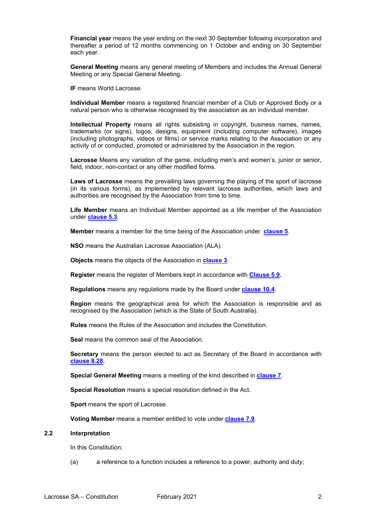**Financial year** means the year ending on the next 30 September following incorporation and thereafter a period of 12 months commencing on 1 October and ending on 30 September each year.

**General Meeting** means any general meeting of Members and includes the Annual General Meeting or any Special General Meeting.

**IF** means World Lacrosse.

**Individual Member** means a registered financial member of a Club or Approved Body or a natural person who is otherwise recognised by the association as an individual member.

**Intellectual Property** means all rights subsisting in copyright, business names, names, trademarks (or signs), logos, designs, equipment (including computer software), images (including photographs, videos or films) or service marks relating to the Association or any activity of or conducted, promoted or administered by the Association in the region.

**Lacrosse** Means any variation of the game, including men's and women's, junior or senior, field, indoor, non-contact or any other modified forms.

**Laws of Lacrosse** means the prevailing laws governing the playing of the sport of lacrosse (in its various forms), as implemented by relevant lacrosse authorities, which laws and authorities are recognised by the Association from time to time.

**Life Member** means an Individual Member appointed as a life member of the Association under **[clause](#page-8-0) 5.3**.

**Member** means a member for the time being of the Association under **[clause 5](#page-7-0)**.

**NSO** means the Australian Lacrosse Association (ALA).

**Objects** means the objects of the Association in **[clause 3](#page-5-2)**.

**Register** means the register of Members kept in accordance with **[Clause 5.9.](#page-10-0)**

**Regulations** means any regulations made by the Board under **[clause](#page-27-0) 10.4**.

**Region** means the geographical area for which the Association is responsible and as recognised by the Association (which is the State of South Australia).

**Rules** means the Rules of the Association and includes the Constitution.

**Seal** means the common seal of the Association.

**Secretary** means the person elected to act as Secretary of the Board in accordance with **[clause 8.28](#page-24-1)**.

**Special General Meeting** means a meeting of the kind described in **[clause 7](#page-14-2)**.

**Special Resolution** means a special resolution defined in the Act.

**Sport** means the sport of Lacrosse.

**Voting Member** means a member entitled to vote under **[clause 7.9](#page-16-2)**.

# <span id="page-4-0"></span>**2.2 Interpretation**

In this Constitution:

(a) a reference to a function includes a reference to a power, authority and duty;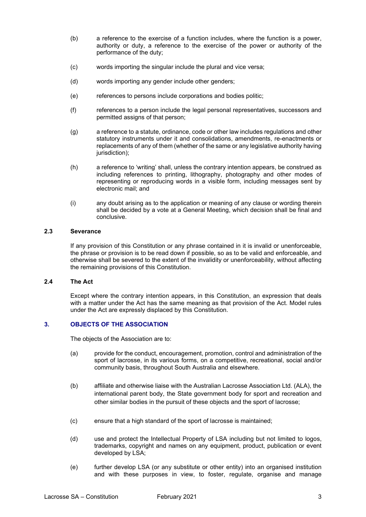- (b) a reference to the exercise of a function includes, where the function is a power, authority or duty, a reference to the exercise of the power or authority of the performance of the duty;
- (c) words importing the singular include the plural and vice versa;
- (d) words importing any gender include other genders;
- (e) references to persons include corporations and bodies politic;
- (f) references to a person include the legal personal representatives, successors and permitted assigns of that person;
- (g) a reference to a statute, ordinance, code or other law includes regulations and other statutory instruments under it and consolidations, amendments, re-enactments or replacements of any of them (whether of the same or any legislative authority having jurisdiction);
- (h) a reference to 'writing' shall, unless the contrary intention appears, be construed as including references to printing, lithography, photography and other modes of representing or reproducing words in a visible form, including messages sent by electronic mail; and
- (i) any doubt arising as to the application or meaning of any clause or wording therein shall be decided by a vote at a General Meeting, which decision shall be final and conclusive.

# <span id="page-5-0"></span>**2.3 Severance**

If any provision of this Constitution or any phrase contained in it is invalid or unenforceable, the phrase or provision is to be read down if possible, so as to be valid and enforceable, and otherwise shall be severed to the extent of the invalidity or unenforceability, without affecting the remaining provisions of this Constitution.

# <span id="page-5-1"></span>**2.4 The Act**

Except where the contrary intention appears, in this Constitution, an expression that deals with a matter under the Act has the same meaning as that provision of the Act. Model rules under the Act are expressly displaced by this Constitution.

# <span id="page-5-2"></span>**3. OBJECTS OF THE ASSOCIATION**

The objects of the Association are to:

- (a) provide for the conduct, encouragement, promotion, control and administration of the sport of lacrosse, in its various forms, on a competitive, recreational, social and/or community basis, throughout South Australia and elsewhere.
- (b) affiliate and otherwise liaise with the Australian Lacrosse Association Ltd. (ALA), the international parent body, the State government body for sport and recreation and other similar bodies in the pursuit of these objects and the sport of lacrosse;
- (c) ensure that a high standard of the sport of lacrosse is maintained;
- (d) use and protect the Intellectual Property of LSA including but not limited to logos, trademarks, copyright and names on any equipment, product, publication or event developed by LSA;
- (e) further develop LSA (or any substitute or other entity) into an organised institution and with these purposes in view, to foster, regulate, organise and manage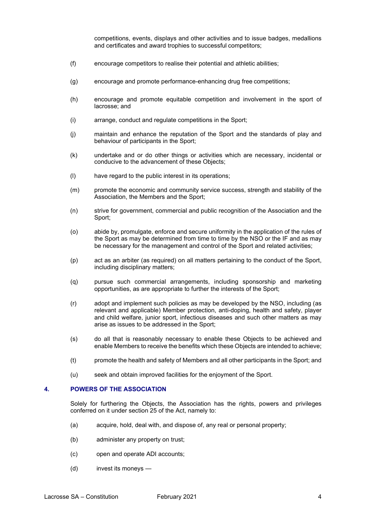competitions, events, displays and other activities and to issue badges, medallions and certificates and award trophies to successful competitors;

- (f) encourage competitors to realise their potential and athletic abilities;
- (g) encourage and promote performance-enhancing drug free competitions;
- (h) encourage and promote equitable competition and involvement in the sport of lacrosse; and
- (i) arrange, conduct and regulate competitions in the Sport;
- (j) maintain and enhance the reputation of the Sport and the standards of play and behaviour of participants in the Sport;
- (k) undertake and or do other things or activities which are necessary, incidental or conducive to the advancement of these Objects;
- (l) have regard to the public interest in its operations;
- (m) promote the economic and community service success, strength and stability of the Association, the Members and the Sport;
- (n) strive for government, commercial and public recognition of the Association and the Sport;
- (o) abide by, promulgate, enforce and secure uniformity in the application of the rules of the Sport as may be determined from time to time by the NSO or the IF and as may be necessary for the management and control of the Sport and related activities;
- (p) act as an arbiter (as required) on all matters pertaining to the conduct of the Sport, including disciplinary matters;
- (q) pursue such commercial arrangements, including sponsorship and marketing opportunities, as are appropriate to further the interests of the Sport;
- (r) adopt and implement such policies as may be developed by the NSO, including (as relevant and applicable) Member protection, anti-doping, health and safety, player and child welfare, junior sport, infectious diseases and such other matters as may arise as issues to be addressed in the Sport;
- (s) do all that is reasonably necessary to enable these Objects to be achieved and enable Members to receive the benefits which these Objects are intended to achieve;
- (t) promote the health and safety of Members and all other participants in the Sport; and
- (u) seek and obtain improved facilities for the enjoyment of the Sport.

#### <span id="page-6-0"></span>**4. POWERS OF THE ASSOCIATION**

Solely for furthering the Objects, the Association has the rights, powers and privileges conferred on it under section 25 of the Act, namely to:

- (a) acquire, hold, deal with, and dispose of, any real or personal property;
- (b) administer any property on trust;
- (c) open and operate ADI accounts;
- (d) invest its moneys —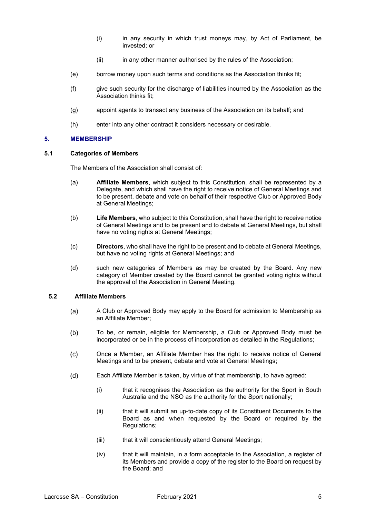- (i) in any security in which trust moneys may, by Act of Parliament, be invested; or
- (ii) in any other manner authorised by the rules of the Association;
- (e) borrow money upon such terms and conditions as the Association thinks fit;
- (f) give such security for the discharge of liabilities incurred by the Association as the Association thinks fit;
- (g) appoint agents to transact any business of the Association on its behalf; and
- (h) enter into any other contract it considers necessary or desirable.

#### <span id="page-7-0"></span>**5. MEMBERSHIP**

#### <span id="page-7-1"></span>**5.1 Categories of Members**

The Members of the Association shall consist of:

- (a) **Affiliate Members**, which subject to this Constitution, shall be represented by a Delegate, and which shall have the right to receive notice of General Meetings and to be present, debate and vote on behalf of their respective Club or Approved Body at General Meetings;
- (b) **Life Members**, who subject to this Constitution, shall have the right to receive notice of General Meetings and to be present and to debate at General Meetings, but shall have no voting rights at General Meetings;
- (c) **Directors**, who shall have the right to be present and to debate at General Meetings, but have no voting rights at General Meetings; and
- (d) such new categories of Members as may be created by the Board. Any new category of Member created by the Board cannot be granted voting rights without the approval of the Association in General Meeting.

# <span id="page-7-2"></span>**5.2 Affiliate Members**

- A Club or Approved Body may apply to the Board for admission to Membership as  $(a)$ an Affiliate Member;
- $(b)$ To be, or remain, eligible for Membership, a Club or Approved Body must be incorporated or be in the process of incorporation as detailed in the Regulations;
- Once a Member, an Affiliate Member has the right to receive notice of General  $(c)$ Meetings and to be present, debate and vote at General Meetings;
- Each Affiliate Member is taken, by virtue of that membership, to have agreed:  $(d)$ 
	- (i) that it recognises the Association as the authority for the Sport in South Australia and the NSO as the authority for the Sport nationally;
	- (ii) that it will submit an up-to-date copy of its Constituent Documents to the Board as and when requested by the Board or required by the Regulations;
	- (iii) that it will conscientiously attend General Meetings;
	- (iv) that it will maintain, in a form acceptable to the Association, a register of its Members and provide a copy of the register to the Board on request by the Board; and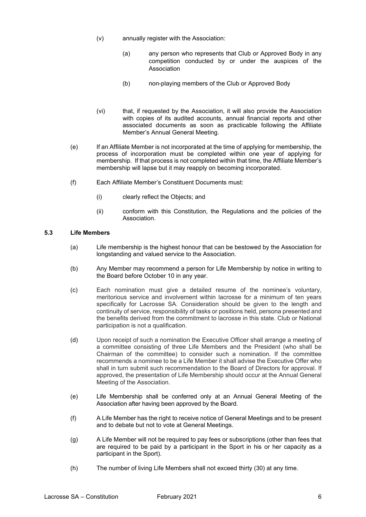- (v) annually register with the Association:
	- (a) any person who represents that Club or Approved Body in any competition conducted by or under the auspices of the Association
	- (b) non-playing members of the Club or Approved Body
- (vi) that, if requested by the Association, it will also provide the Association with copies of its audited accounts, annual financial reports and other associated documents as soon as practicable following the Affiliate Member's Annual General Meeting.
- (e) If an Affiliate Member is not incorporated at the time of applying for membership, the process of incorporation must be completed within one year of applying for membership. If that process is not completed within that time, the Affiliate Member's membership will lapse but it may reapply on becoming incorporated.
- (f) Each Affiliate Member's Constituent Documents must:
	- (i) clearly reflect the Objects; and
	- (ii) conform with this Constitution, the Regulations and the policies of the Association.

#### <span id="page-8-0"></span>**5.3 Life Members**

- (a) Life membership is the highest honour that can be bestowed by the Association for longstanding and valued service to the Association.
- (b) Any Member may recommend a person for Life Membership by notice in writing to the Board before October 10 in any year.
- (c) Each nomination must give a detailed resume of the nominee's voluntary, meritorious service and involvement within lacrosse for a minimum of ten years specifically for Lacrosse SA. Consideration should be given to the length and continuity of service, responsibility of tasks or positions held, persona presented and the benefits derived from the commitment to lacrosse in this state. Club or National participation is not a qualification.
- (d) Upon receipt of such a nomination the Executive Officer shall arrange a meeting of a committee consisting of three Life Members and the President (who shall be Chairman of the committee) to consider such a nomination. If the committee recommends a nominee to be a Life Member it shall advise the Executive Offer who shall in turn submit such recommendation to the Board of Directors for approval. If approved, the presentation of Life Membership should occur at the Annual General Meeting of the Association.
- (e) Life Membership shall be conferred only at an Annual General Meeting of the Association after having been approved by the Board.
- (f) A Life Member has the right to receive notice of General Meetings and to be present and to debate but not to vote at General Meetings.
- (g) A Life Member will not be required to pay fees or subscriptions (other than fees that are required to be paid by a participant in the Sport in his or her capacity as a participant in the Sport).
- (h) The number of living Life Members shall not exceed thirty (30) at any time.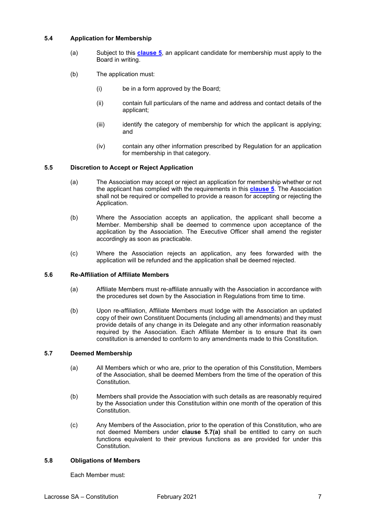# <span id="page-9-0"></span>**5.4 Application for Membership**

- (a) Subject to this **[clause 5](#page-7-0)**, an applicant candidate for membership must apply to the Board in writing.
- (b) The application must:
	- (i) be in a form approved by the Board;
	- (ii) contain full particulars of the name and address and contact details of the applicant;
	- (iii) identify the category of membership for which the applicant is applying; and
	- (iv) contain any other information prescribed by Regulation for an application for membership in that category.

#### <span id="page-9-1"></span>**5.5 Discretion to Accept or Reject Application**

- (a) The Association may accept or reject an application for membership whether or not the applicant has complied with the requirements in this **[clause 5](#page-7-0)**. The Association shall not be required or compelled to provide a reason for accepting or rejecting the Application.
- (b) Where the Association accepts an application, the applicant shall become a Member. Membership shall be deemed to commence upon acceptance of the application by the Association. The Executive Officer shall amend the register accordingly as soon as practicable.
- (c) Where the Association rejects an application, any fees forwarded with the application will be refunded and the application shall be deemed rejected.

#### <span id="page-9-2"></span>**5.6 Re-Affiliation of Affiliate Members**

- (a) Affiliate Members must re-affiliate annually with the Association in accordance with the procedures set down by the Association in Regulations from time to time.
- (b) Upon re-affiliation, Affiliate Members must lodge with the Association an updated copy of their own Constituent Documents (including all amendments) and they must provide details of any change in its Delegate and any other information reasonably required by the Association. Each Affiliate Member is to ensure that its own constitution is amended to conform to any amendments made to this Constitution.

#### <span id="page-9-5"></span><span id="page-9-3"></span>**5.7 Deemed Membership**

- (a) All Members which or who are, prior to the operation of this Constitution, Members of the Association, shall be deemed Members from the time of the operation of this **Constitution**
- (b) Members shall provide the Association with such details as are reasonably required by the Association under this Constitution within one month of the operation of this Constitution.
- (c) Any Members of the Association, prior to the operation of this Constitution, who are not deemed Members under **clause 5.[7\(a\)](#page-9-5)** shall be entitled to carry on such functions equivalent to their previous functions as are provided for under this Constitution.

#### <span id="page-9-4"></span>**5.8 Obligations of Members**

Each Member must: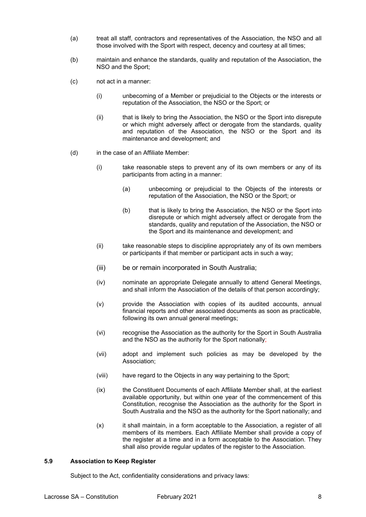- (a) treat all staff, contractors and representatives of the Association, the NSO and all those involved with the Sport with respect, decency and courtesy at all times;
- (b) maintain and enhance the standards, quality and reputation of the Association, the NSO and the Sport;
- (c) not act in a manner:
	- (i) unbecoming of a Member or prejudicial to the Objects or the interests or reputation of the Association, the NSO or the Sport; or
	- (ii) that is likely to bring the Association, the NSO or the Sport into disrepute or which might adversely affect or derogate from the standards, quality and reputation of the Association, the NSO or the Sport and its maintenance and development; and
- (d) in the case of an Affiliate Member:
	- (i) take reasonable steps to prevent any of its own members or any of its participants from acting in a manner:
		- (a) unbecoming or prejudicial to the Objects of the interests or reputation of the Association, the NSO or the Sport; or
		- (b) that is likely to bring the Association, the NSO or the Sport into disrepute or which might adversely affect or derogate from the standards, quality and reputation of the Association, the NSO or the Sport and its maintenance and development; and
	- (ii) take reasonable steps to discipline appropriately any of its own members or participants if that member or participant acts in such a way;
	- (iii) be or remain incorporated in South Australia;
	- (iv) nominate an appropriate Delegate annually to attend General Meetings, and shall inform the Association of the details of that person accordingly;
	- (v) provide the Association with copies of its audited accounts, annual financial reports and other associated documents as soon as practicable, following its own annual general meetings;
	- (vi) recognise the Association as the authority for the Sport in South Australia and the NSO as the authority for the Sport nationally;
	- (vii) adopt and implement such policies as may be developed by the Association;
	- (viii) have regard to the Objects in any way pertaining to the Sport;
	- (ix) the Constituent Documents of each Affiliate Member shall, at the earliest available opportunity, but within one year of the commencement of this Constitution, recognise the Association as the authority for the Sport in South Australia and the NSO as the authority for the Sport nationally; and
	- (x) it shall maintain, in a form acceptable to the Association, a register of all members of its members. Each Affiliate Member shall provide a copy of the register at a time and in a form acceptable to the Association. They shall also provide regular updates of the register to the Association.

#### <span id="page-10-0"></span>**5.9 Association to Keep Register**

Subject to the Act, confidentiality considerations and privacy laws: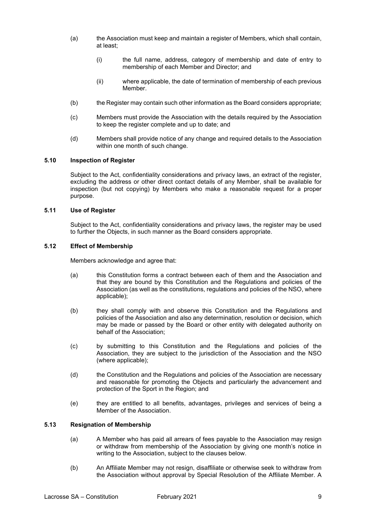- (a) the Association must keep and maintain a register of Members, which shall contain, at least;
	- (i) the full name, address, category of membership and date of entry to membership of each Member and Director; and
	- (ii) where applicable, the date of termination of membership of each previous Member.
- (b) the Register may contain such other information as the Board considers appropriate;
- (c) Members must provide the Association with the details required by the Association to keep the register complete and up to date; and
- (d) Members shall provide notice of any change and required details to the Association within one month of such change.

#### <span id="page-11-0"></span>**5.10 Inspection of Register**

Subject to the Act, confidentiality considerations and privacy laws, an extract of the register, excluding the address or other direct contact details of any Member, shall be available for inspection (but not copying) by Members who make a reasonable request for a proper purpose.

#### <span id="page-11-1"></span>**5.11 Use of Register**

Subject to the Act, confidentiality considerations and privacy laws, the register may be used to further the Objects, in such manner as the Board considers appropriate.

# <span id="page-11-2"></span>**5.12 Effect of Membership**

Members acknowledge and agree that:

- (a) this Constitution forms a contract between each of them and the Association and that they are bound by this Constitution and the Regulations and policies of the Association (as well as the constitutions, regulations and policies of the NSO, where applicable);
- (b) they shall comply with and observe this Constitution and the Regulations and policies of the Association and also any determination, resolution or decision, which may be made or passed by the Board or other entity with delegated authority on behalf of the Association;
- (c) by submitting to this Constitution and the Regulations and policies of the Association, they are subject to the jurisdiction of the Association and the NSO (where applicable);
- (d) the Constitution and the Regulations and policies of the Association are necessary and reasonable for promoting the Objects and particularly the advancement and protection of the Sport in the Region; and
- (e) they are entitled to all benefits, advantages, privileges and services of being a Member of the Association.

# <span id="page-11-3"></span>**5.13 Resignation of Membership**

- (a) A Member who has paid all arrears of fees payable to the Association may resign or withdraw from membership of the Association by giving one month's notice in writing to the Association, subject to the clauses below.
- (b) An Affiliate Member may not resign, disaffiliate or otherwise seek to withdraw from the Association without approval by Special Resolution of the Affiliate Member. A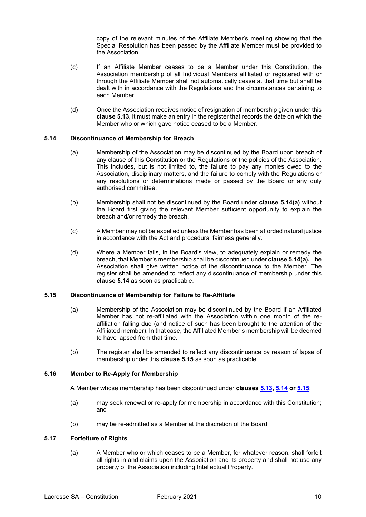copy of the relevant minutes of the Affiliate Member's meeting showing that the Special Resolution has been passed by the Affiliate Member must be provided to the Association.

- (c) If an Affiliate Member ceases to be a Member under this Constitution, the Association membership of all Individual Members affiliated or registered with or through the Affiliate Member shall not automatically cease at that time but shall be dealt with in accordance with the Regulations and the circumstances pertaining to each Member.
- (d) Once the Association receives notice of resignation of membership given under this **clause 5.13**, it must make an entry in the register that records the date on which the Member who or which gave notice ceased to be a Member.

# <span id="page-12-4"></span><span id="page-12-0"></span>**5.14 Discontinuance of Membership for Breach**

- (a) Membership of the Association may be discontinued by the Board upon breach of any clause of this Constitution or the Regulations or the policies of the Association. This includes, but is not limited to, the failure to pay any monies owed to the Association, disciplinary matters, and the failure to comply with the Regulations or any resolutions or determinations made or passed by the Board or any duly authorised committee.
- (b) Membership shall not be discontinued by the Board under **clause 5.1[4\(a\)](#page-12-4)** without the Board first giving the relevant Member sufficient opportunity to explain the breach and/or remedy the breach.
- (c) A Member may not be expelled unless the Member has been afforded natural justice in accordance with the Act and procedural fairness generally.
- (d) Where a Member fails, in the Board's view, to adequately explain or remedy the breach, that Member's membership shall be discontinued under **clause 5.1[4\(a\).](#page-12-4)** The Association shall give written notice of the discontinuance to the Member. The register shall be amended to reflect any discontinuance of membership under this **clause 5.14** as soon as practicable.

#### <span id="page-12-1"></span>**5.15 Discontinuance of Membership for Failure to Re-Affiliate**

- (a) Membership of the Association may be discontinued by the Board if an Affiliated Member has not re-affiliated with the Association within one month of the reaffiliation falling due (and notice of such has been brought to the attention of the Affiliated member). In that case, the Affiliated Member's membership will be deemed to have lapsed from that time.
- (b) The register shall be amended to reflect any discontinuance by reason of lapse of membership under this **clause 5.15** as soon as practicable.

# <span id="page-12-2"></span>**5.16 Member to Re-Apply for Membership**

A Member whose membership has been discontinued under **clauses [5.13,](#page-11-3) [5.14](#page-12-0) o[r 5.15](#page-12-1)**:

- (a) may seek renewal or re-apply for membership in accordance with this Constitution; and
- (b) may be re-admitted as a Member at the discretion of the Board.

#### <span id="page-12-3"></span>**5.17 Forfeiture of Rights**

(a) A Member who or which ceases to be a Member, for whatever reason, shall forfeit all rights in and claims upon the Association and its property and shall not use any property of the Association including Intellectual Property.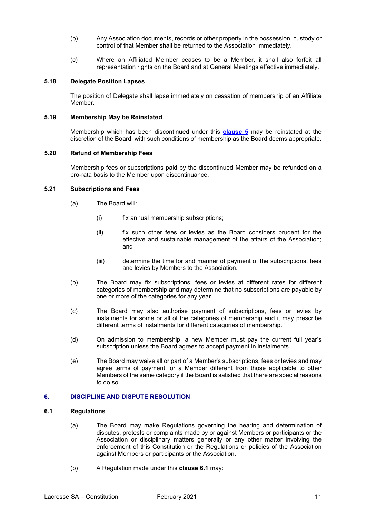- (b) Any Association documents, records or other property in the possession, custody or control of that Member shall be returned to the Association immediately.
- (c) Where an Affiliated Member ceases to be a Member, it shall also forfeit all representation rights on the Board and at General Meetings effective immediately.

#### <span id="page-13-0"></span>**5.18 Delegate Position Lapses**

The position of Delegate shall lapse immediately on cessation of membership of an Affiliate Member.

#### <span id="page-13-1"></span>**5.19 Membership May be Reinstated**

Membership which has been discontinued under this **[clause 5](#page-7-0)** may be reinstated at the discretion of the Board, with such conditions of membership as the Board deems appropriate.

#### <span id="page-13-2"></span>**5.20 Refund of Membership Fees**

Membership fees or subscriptions paid by the discontinued Member may be refunded on a pro-rata basis to the Member upon discontinuance.

#### <span id="page-13-3"></span>**5.21 Subscriptions and Fees**

- (a) The Board will:
	- (i) fix annual membership subscriptions;
	- (ii) fix such other fees or levies as the Board considers prudent for the effective and sustainable management of the affairs of the Association; and
	- (iii) determine the time for and manner of payment of the subscriptions, fees and levies by Members to the Association.
- (b) The Board may fix subscriptions, fees or levies at different rates for different categories of membership and may determine that no subscriptions are payable by one or more of the categories for any year.
- (c) The Board may also authorise payment of subscriptions, fees or levies by instalments for some or all of the categories of membership and it may prescribe different terms of instalments for different categories of membership.
- (d) On admission to membership, a new Member must pay the current full year's subscription unless the Board agrees to accept payment in instalments.
- (e) The Board may waive all or part of a Member's subscriptions, fees or levies and may agree terms of payment for a Member different from those applicable to other Members of the same category if the Board is satisfied that there are special reasons to do so.

# <span id="page-13-4"></span>**6. DISCIPLINE AND DISPUTE RESOLUTION**

#### <span id="page-13-5"></span>**6.1 Regulations**

- (a) The Board may make Regulations governing the hearing and determination of disputes, protests or complaints made by or against Members or participants or the Association or disciplinary matters generally or any other matter involving the enforcement of this Constitution or the Regulations or policies of the Association against Members or participants or the Association.
- (b) A Regulation made under this **clause 6.1** may: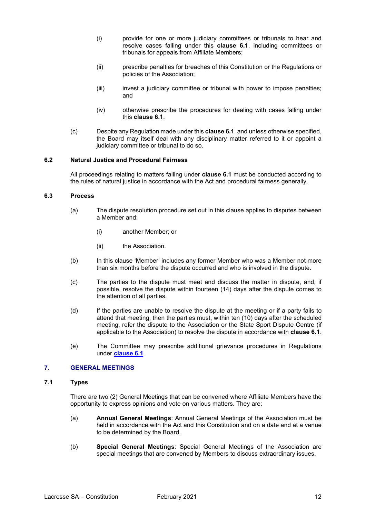- (i) provide for one or more judiciary committees or tribunals to hear and resolve cases falling under this **clause 6.1**, including committees or tribunals for appeals from Affiliate Members;
- (ii) prescribe penalties for breaches of this Constitution or the Regulations or policies of the Association;
- (iii) invest a judiciary committee or tribunal with power to impose penalties; and
- (iv) otherwise prescribe the procedures for dealing with cases falling under this **clause 6.1**.
- (c) Despite any Regulation made under this **clause 6.1**, and unless otherwise specified, the Board may itself deal with any disciplinary matter referred to it or appoint a judiciary committee or tribunal to do so.

#### <span id="page-14-0"></span>**6.2 Natural Justice and Procedural Fairness**

All proceedings relating to matters falling under **clause 6.1** must be conducted according to the rules of natural justice in accordance with the Act and procedural fairness generally.

#### <span id="page-14-1"></span>**6.3 Process**

- (a) The dispute resolution procedure set out in this clause applies to disputes between a Member and:
	- (i) another Member; or
	- (ii) the Association.
- (b) In this clause 'Member' includes any former Member who was a Member not more than six months before the dispute occurred and who is involved in the dispute.
- (c) The parties to the dispute must meet and discuss the matter in dispute, and, if possible, resolve the dispute within fourteen (14) days after the dispute comes to the attention of all parties.
- (d) If the parties are unable to resolve the dispute at the meeting or if a party fails to attend that meeting, then the parties must, within ten (10) days after the scheduled meeting, refer the dispute to the Association or the State Sport Dispute Centre (if applicable to the Association) to resolve the dispute in accordance with **clause 6.1**.
- (e) The Committee may prescribe additional grievance procedures in Regulations under **[clause 6.1](#page-13-5)**.

# <span id="page-14-2"></span>**7. GENERAL MEETINGS**

#### <span id="page-14-3"></span>**7.1 Types**

There are two (2) General Meetings that can be convened where Affiliate Members have the opportunity to express opinions and vote on various matters. They are:

- (a) **Annual General Meetings**: Annual General Meetings of the Association must be held in accordance with the Act and this Constitution and on a date and at a venue to be determined by the Board.
- (b) **Special General Meetings**: Special General Meetings of the Association are special meetings that are convened by Members to discuss extraordinary issues.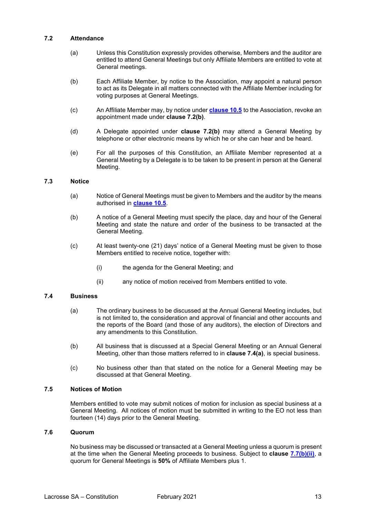# <span id="page-15-0"></span>**7.2 Attendance**

- (a) Unless this Constitution expressly provides otherwise, Members and the auditor are entitled to attend General Meetings but only Affiliate Members are entitled to vote at General meetings.
- (b) Each Affiliate Member, by notice to the Association, may appoint a natural person to act as its Delegate in all matters connected with the Affiliate Member including for voting purposes at General Meetings.
- (c) An Affiliate Member may, by notice under **[clause 10.5](#page-27-1)** to the Association, revoke an appointment made under **clause 7.2(b)**.
- (d) A Delegate appointed under **clause 7.2(b)** may attend a General Meeting by telephone or other electronic means by which he or she can hear and be heard.
- (e) For all the purposes of this Constitution, an Affiliate Member represented at a General Meeting by a Delegate is to be taken to be present in person at the General Meeting.

#### <span id="page-15-1"></span>**7.3 Notice**

- (a) Notice of General Meetings must be given to Members and the auditor by the means authorised in **[clause 10.5](#page-27-1)**.
- (b) A notice of a General Meeting must specify the place, day and hour of the General Meeting and state the nature and order of the business to be transacted at the General Meeting.
- (c) At least twenty-one (21) days' notice of a General Meeting must be given to those Members entitled to receive notice, together with:
	- (i) the agenda for the General Meeting; and
	- (ii) any notice of motion received from Members entitled to vote.

# <span id="page-15-2"></span>**7.4 Business**

- (a) The ordinary business to be discussed at the Annual General Meeting includes, but is not limited to, the consideration and approval of financial and other accounts and the reports of the Board (and those of any auditors), the election of Directors and any amendments to this Constitution.
- (b) All business that is discussed at a Special General Meeting or an Annual General Meeting, other than those matters referred to in **clause 7.4(a)**, is special business.
- (c) No business other than that stated on the notice for a General Meeting may be discussed at that General Meeting.

#### <span id="page-15-3"></span>**7.5 Notices of Motion**

Members entitled to vote may submit notices of motion for inclusion as special business at a General Meeting. All notices of motion must be submitted in writing to the EO not less than fourteen (14) days prior to the General Meeting.

#### <span id="page-15-4"></span>**7.6 Quorum**

No business may be discussed or transacted at a General Meeting unless a quorum is present at the time when the General Meeting proceeds to business. Subject to **clause [7.7\(b\)\(ii\)](#page-16-3)**, a quorum for General Meetings is **50%** of Affiliate Members plus 1.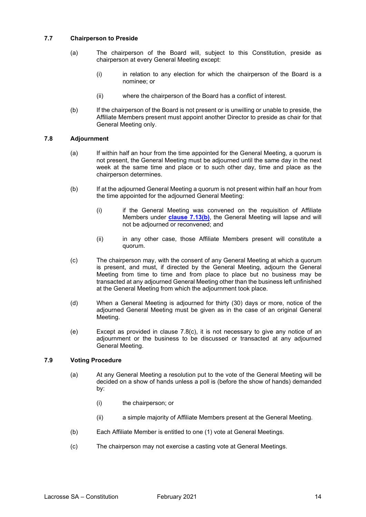# <span id="page-16-0"></span>**7.7 Chairperson to Preside**

- (a) The chairperson of the Board will, subject to this Constitution, preside as chairperson at every General Meeting except:
	- (i) in relation to any election for which the chairperson of the Board is a nominee; or
	- (ii) where the chairperson of the Board has a conflict of interest.
- <span id="page-16-3"></span>(b) If the chairperson of the Board is not present or is unwilling or unable to preside, the Affiliate Members present must appoint another Director to preside as chair for that General Meeting only.

#### <span id="page-16-1"></span>**7.8 Adjournment**

- (a) If within half an hour from the time appointed for the General Meeting, a quorum is not present, the General Meeting must be adjourned until the same day in the next week at the same time and place or to such other day, time and place as the chairperson determines.
- (b) If at the adjourned General Meeting a quorum is not present within half an hour from the time appointed for the adjourned General Meeting:
	- (i) if the General Meeting was convened on the requisition of Affiliate Members under **[clause 7.13\(b\)](#page-17-2)**, the General Meeting will lapse and will not be adjourned or reconvened; and
	- (ii) in any other case, those Affiliate Members present will constitute a quorum.
- (c) The chairperson may, with the consent of any General Meeting at which a quorum is present, and must, if directed by the General Meeting, adjourn the General Meeting from time to time and from place to place but no business may be transacted at any adjourned General Meeting other than the business left unfinished at the General Meeting from which the adjournment took place.
- (d) When a General Meeting is adjourned for thirty (30) days or more, notice of the adjourned General Meeting must be given as in the case of an original General Meeting.
- (e) Except as provided in clause 7.8(c), it is not necessary to give any notice of an adjournment or the business to be discussed or transacted at any adjourned General Meeting.

# <span id="page-16-2"></span>**7.9 Voting Procedure**

- (a) At any General Meeting a resolution put to the vote of the General Meeting will be decided on a show of hands unless a poll is (before the show of hands) demanded by:
	- (i) the chairperson; or
	- (ii) a simple majority of Affiliate Members present at the General Meeting.
- (b) Each Affiliate Member is entitled to one (1) vote at General Meetings.
- (c) The chairperson may not exercise a casting vote at General Meetings.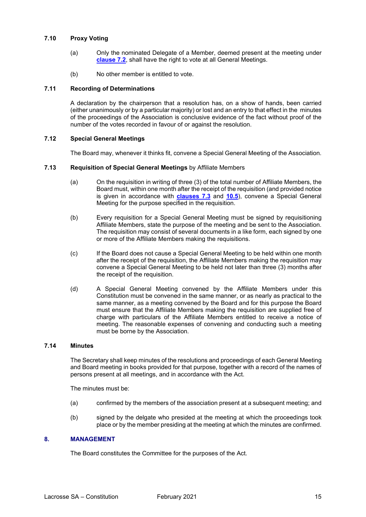# <span id="page-17-0"></span>**7.10 Proxy Voting**

- (a) Only the nominated Delegate of a Member, deemed present at the meeting under **[clause 7.2](#page-15-0)**, shall have the right to vote at all General Meetings.
- (b) No other member is entitled to vote.

#### <span id="page-17-1"></span>**7.11 Recording of Determinations**

A declaration by the chairperson that a resolution has, on a show of hands, been carried (either unanimously or by a particular majority) or lost and an entry to that effect in the minutes of the proceedings of the Association is conclusive evidence of the fact without proof of the number of the votes recorded in favour of or against the resolution.

# <span id="page-17-2"></span>**7.12 Special General Meetings**

The Board may, whenever it thinks fit, convene a Special General Meeting of the Association.

#### <span id="page-17-3"></span>**7.13 Requisition of Special General Meetings** by Affiliate Members

- (a) On the requisition in writing of three (3) of the total number of Affiliate Members, the Board must, within one month after the receipt of the requisition (and provided notice is given in accordance with **[clauses](#page-15-1) 7.3** and **[10.5](#page-27-1)**), convene a Special General Meeting for the purpose specified in the requisition.
- (b) Every requisition for a Special General Meeting must be signed by requisitioning Affiliate Members, state the purpose of the meeting and be sent to the Association. The requisition may consist of several documents in a like form, each signed by one or more of the Affiliate Members making the requisitions.
- (c) If the Board does not cause a Special General Meeting to be held within one month after the receipt of the requisition, the Affiliate Members making the requisition may convene a Special General Meeting to be held not later than three (3) months after the receipt of the requisition.
- (d) A Special General Meeting convened by the Affiliate Members under this Constitution must be convened in the same manner, or as nearly as practical to the same manner, as a meeting convened by the Board and for this purpose the Board must ensure that the Affiliate Members making the requisition are supplied free of charge with particulars of the Affiliate Members entitled to receive a notice of meeting. The reasonable expenses of convening and conducting such a meeting must be borne by the Association.

#### <span id="page-17-4"></span>**7.14 Minutes**

The Secretary shall keep minutes of the resolutions and proceedings of each General Meeting and Board meeting in books provided for that purpose, together with a record of the names of persons present at all meetings, and in accordance with the Act.

The minutes must be:

- (a) confirmed by the members of the association present at a subsequent meeting; and
- (b) signed by the delgate who presided at the meeting at which the proceedings took place or by the member presiding at the meeting at which the minutes are confirmed.

# <span id="page-17-5"></span>**8. MANAGEMENT**

The Board constitutes the Committee for the purposes of the Act.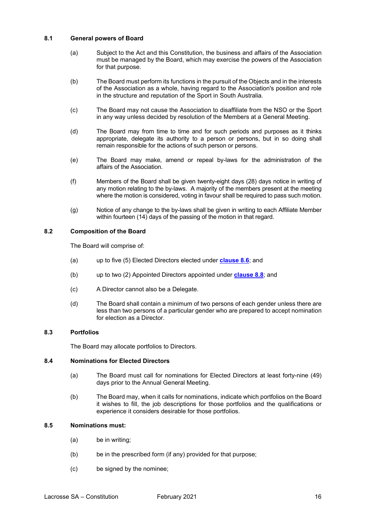# <span id="page-18-0"></span>**8.1 General powers of Board**

- (a) Subject to the Act and this Constitution, the business and affairs of the Association must be managed by the Board, which may exercise the powers of the Association for that purpose.
- (b) The Board must perform its functions in the pursuit of the Objects and in the interests of the Association as a whole, having regard to the Association's position and role in the structure and reputation of the Sport in South Australia.
- (c) The Board may not cause the Association to disaffiliate from the NSO or the Sport in any way unless decided by resolution of the Members at a General Meeting.
- (d) The Board may from time to time and for such periods and purposes as it thinks appropriate, delegate its authority to a person or persons, but in so doing shall remain responsible for the actions of such person or persons.
- (e) The Board may make, amend or repeal by-laws for the administration of the affairs of the Association.
- (f) Members of the Board shall be given twenty-eight days (28) days notice in writing of any motion relating to the by-laws. A majority of the members present at the meeting where the motion is considered, voting in favour shall be required to pass such motion.
- (g) Notice of any change to the by-laws shall be given in writing to each Affiliate Member within fourteen (14) days of the passing of the motion in that regard.

# <span id="page-18-1"></span>**8.2 Composition of the Board**

The Board will comprise of:

- (a) up to five (5) Elected Directors elected under **[clause 8.6](#page-19-0)**; and
- (b) up to two (2) Appointed Directors appointed under **[clause 8.8](#page-19-2)**; and
- (c) A Director cannot also be a Delegate.
- (d) The Board shall contain a minimum of two persons of each gender unless there are less than two persons of a particular gender who are prepared to accept nomination for election as a Director.

# <span id="page-18-2"></span>**8.3 Portfolios**

The Board may allocate portfolios to Directors.

# <span id="page-18-3"></span>**8.4 Nominations for Elected Directors**

- (a) The Board must call for nominations for Elected Directors at least forty-nine (49) days prior to the Annual General Meeting.
- (b) The Board may, when it calls for nominations, indicate which portfolios on the Board it wishes to fill, the job descriptions for those portfolios and the qualifications or experience it considers desirable for those portfolios.

#### <span id="page-18-4"></span>**8.5 Nominations must:**

- (a) be in writing;
- (b) be in the prescribed form (if any) provided for that purpose;
- (c) be signed by the nominee;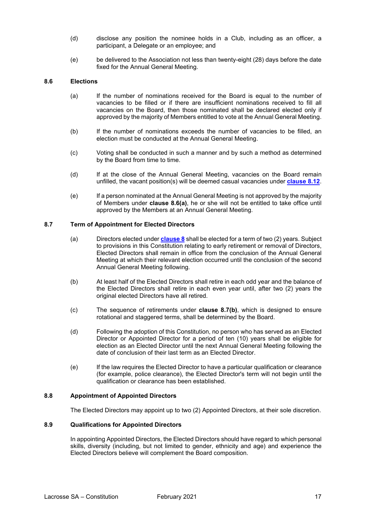- (d) disclose any position the nominee holds in a Club, including as an officer, a participant, a Delegate or an employee; and
- (e) be delivered to the Association not less than twenty-eight (28) days before the date fixed for the Annual General Meeting.

#### <span id="page-19-0"></span>**8.6 Elections**

- (a) If the number of nominations received for the Board is equal to the number of vacancies to be filled or if there are insufficient nominations received to fill all vacancies on the Board, then those nominated shall be declared elected only if approved by the majority of Members entitled to vote at the Annual General Meeting.
- (b) If the number of nominations exceeds the number of vacancies to be filled, an election must be conducted at the Annual General Meeting.
- (c) Voting shall be conducted in such a manner and by such a method as determined by the Board from time to time.
- (d) If at the close of the Annual General Meeting, vacancies on the Board remain unfilled, the vacant position(s) will be deemed casual vacancies under **[clause](#page-20-2) 8.12**.
- (e) If a person nominated at the Annual General Meeting is not approved by the majority of Members under **clause 8.6(a)**, he or she will not be entitled to take office until approved by the Members at an Annual General Meeting.

#### <span id="page-19-1"></span>**8.7 Term of Appointment for Elected Directors**

- (a) Directors elected under **[clause 8](#page-17-5)** shall be elected for a term of two (2) years. Subject to provisions in this Constitution relating to early retirement or removal of Directors, Elected Directors shall remain in office from the conclusion of the Annual General Meeting at which their relevant election occurred until the conclusion of the second Annual General Meeting following.
- (b) At least half of the Elected Directors shall retire in each odd year and the balance of the Elected Directors shall retire in each even year until, after two (2) years the original elected Directors have all retired.
- (c) The sequence of retirements under **clause 8.7(b)**, which is designed to ensure rotational and staggered terms, shall be determined by the Board.
- (d) Following the adoption of this Constitution, no person who has served as an Elected Director or Appointed Director for a period of ten (10) years shall be eligible for election as an Elected Director until the next Annual General Meeting following the date of conclusion of their last term as an Elected Director.
- (e) If the law requires the Elected Director to have a particular qualification or clearance (for example, police clearance), the Elected Director's term will not begin until the qualification or clearance has been established.

# <span id="page-19-2"></span>**8.8 Appointment of Appointed Directors**

The Elected Directors may appoint up to two (2) Appointed Directors, at their sole discretion.

#### <span id="page-19-3"></span>**8.9 Qualifications for Appointed Directors**

In appointing Appointed Directors, the Elected Directors should have regard to which personal skills, diversity (including, but not limited to gender, ethnicity and age) and experience the Elected Directors believe will complement the Board composition.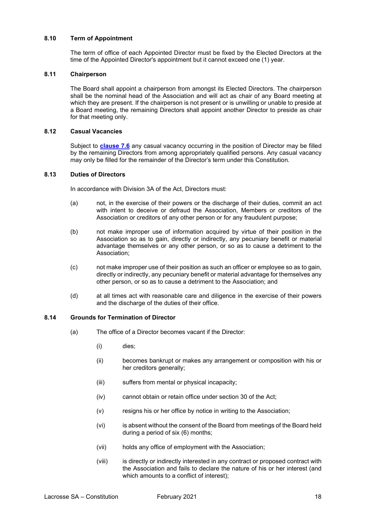#### <span id="page-20-0"></span>**8.10 Term of Appointment**

The term of office of each Appointed Director must be fixed by the Elected Directors at the time of the Appointed Director's appointment but it cannot exceed one (1) year.

#### <span id="page-20-1"></span>**8.11 Chairperson**

The Board shall appoint a chairperson from amongst its Elected Directors. The chairperson shall be the nominal head of the Association and will act as chair of any Board meeting at which they are present. If the chairperson is not present or is unwilling or unable to preside at a Board meeting, the remaining Directors shall appoint another Director to preside as chair for that meeting only.

#### <span id="page-20-2"></span>**8.12 Casual Vacancies**

Subject to **[clause 7.6](#page-22-0)** any casual vacancy occurring in the position of Director may be filled by the remaining Directors from among appropriately qualified persons. Any casual vacancy may only be filled for the remainder of the Director's term under this Constitution.

#### <span id="page-20-3"></span>**8.13 Duties of Directors**

In accordance with Division 3A of the Act, Directors must:

- (a) not, in the exercise of their powers or the discharge of their duties, commit an act with intent to deceive or defraud the Association, Members or creditors of the Association or creditors of any other person or for any fraudulent purpose;
- (b) not make improper use of information acquired by virtue of their position in the Association so as to gain, directly or indirectly, any pecuniary benefit or material advantage themselves or any other person, or so as to cause a detriment to the Association;
- (c) not make improper use of their position as such an officer or employee so as to gain, directly or indirectly, any pecuniary benefit or material advantage for themselves any other person, or so as to cause a detriment to the Association; and
- (d) at all times act with reasonable care and diligence in the exercise of their powers and the discharge of the duties of their office.

# <span id="page-20-4"></span>**8.14 Grounds for Termination of Director**

- (a) The office of a Director becomes vacant if the Director:
	- (i) dies;
	- (ii) becomes bankrupt or makes any arrangement or composition with his or her creditors generally;
	- (iii) suffers from mental or physical incapacity;
	- (iv) cannot obtain or retain office under section 30 of the Act;
	- (v) resigns his or her office by notice in writing to the Association;
	- (vi) is absent without the consent of the Board from meetings of the Board held during a period of six (6) months;
	- (vii) holds any office of employment with the Association;
	- (viii) is directly or indirectly interested in any contract or proposed contract with the Association and fails to declare the nature of his or her interest (and which amounts to a conflict of interest);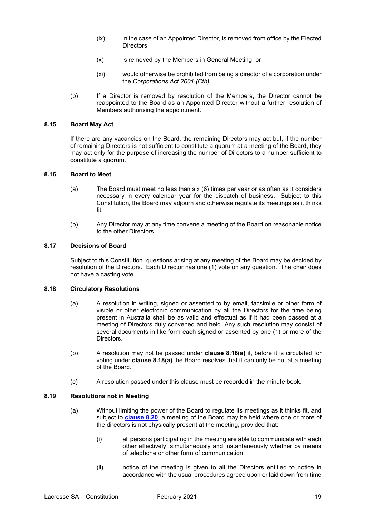- (ix) in the case of an Appointed Director, is removed from office by the Elected Directors;
- (x) is removed by the Members in General Meeting; or
- (xi) would otherwise be prohibited from being a director of a corporation under the *Corporations Act 2001 (Cth)*.
- (b) If a Director is removed by resolution of the Members, the Director cannot be reappointed to the Board as an Appointed Director without a further resolution of Members authorising the appointment.

# <span id="page-21-0"></span>**8.15 Board May Act**

If there are any vacancies on the Board, the remaining Directors may act but, if the number of remaining Directors is not sufficient to constitute a quorum at a meeting of the Board, they may act only for the purpose of increasing the number of Directors to a number sufficient to constitute a quorum.

#### <span id="page-21-1"></span>**8.16 Board to Meet**

- (a) The Board must meet no less than six (6) times per year or as often as it considers necessary in every calendar year for the dispatch of business. Subject to this Constitution, the Board may adjourn and otherwise regulate its meetings as it thinks fit.
- (b) Any Director may at any time convene a meeting of the Board on reasonable notice to the other Directors.

#### <span id="page-21-2"></span>**8.17 Decisions of Board**

Subject to this Constitution, questions arising at any meeting of the Board may be decided by resolution of the Directors. Each Director has one (1) vote on any question. The chair does not have a casting vote.

#### <span id="page-21-3"></span>**8.18 Circulatory Resolutions**

- (a) A resolution in writing, signed or assented to by email, facsimile or other form of visible or other electronic communication by all the Directors for the time being present in Australia shall be as valid and effectual as if it had been passed at a meeting of Directors duly convened and held. Any such resolution may consist of several documents in like form each signed or assented by one (1) or more of the Directors.
- (b) A resolution may not be passed under **clause 8.18(a)** if, before it is circulated for voting under **clause 8.18(a)** the Board resolves that it can only be put at a meeting of the Board.
- (c) A resolution passed under this clause must be recorded in the minute book.

#### <span id="page-21-4"></span>**8.19 Resolutions not in Meeting**

- (a) Without limiting the power of the Board to regulate its meetings as it thinks fit, and subject to **[clause 8.20](#page-22-0)**, a meeting of the Board may be held where one or more of the directors is not physically present at the meeting, provided that:
	- (i) all persons participating in the meeting are able to communicate with each other effectively, simultaneously and instantaneously whether by means of telephone or other form of communication;
	- (ii) notice of the meeting is given to all the Directors entitled to notice in accordance with the usual procedures agreed upon or laid down from time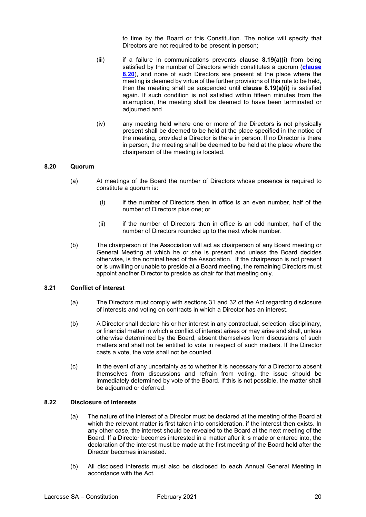to time by the Board or this Constitution. The notice will specify that Directors are not required to be present in person;

- (iii) if a failure in communications prevents **clause 8.19(a)(i)** from being satisfied by the number of Directors which constitutes a quorum (**[clause](#page-22-0)  [8.20](#page-22-0)**), and none of such Directors are present at the place where the meeting is deemed by virtue of the further provisions of this rule to be held, then the meeting shall be suspended until **clause 8.19(a)(i)** is satisfied again. If such condition is not satisfied within fifteen minutes from the interruption, the meeting shall be deemed to have been terminated or adjourned and
- (iv) any meeting held where one or more of the Directors is not physically present shall be deemed to be held at the place specified in the notice of the meeting, provided a Director is there in person. If no Director is there in person, the meeting shall be deemed to be held at the place where the chairperson of the meeting is located.

# <span id="page-22-0"></span>**8.20 Quorum**

- (a) At meetings of the Board the number of Directors whose presence is required to constitute a quorum is:
	- (i) if the number of Directors then in office is an even number, half of the number of Directors plus one; or
	- (ii) if the number of Directors then in office is an odd number, half of the number of Directors rounded up to the next whole number.
- (b) The chairperson of the Association will act as chairperson of any Board meeting or General Meeting at which he or she is present and unless the Board decides otherwise, is the nominal head of the Association. If the chairperson is not present or is unwilling or unable to preside at a Board meeting, the remaining Directors must appoint another Director to preside as chair for that meeting only.

#### <span id="page-22-1"></span>**8.21 Conflict of Interest**

- (a) The Directors must comply with sections 31 and 32 of the Act regarding disclosure of interests and voting on contracts in which a Director has an interest.
- (b) A Director shall declare his or her interest in any contractual, selection, disciplinary, or financial matter in which a conflict of interest arises or may arise and shall, unless otherwise determined by the Board, absent themselves from discussions of such matters and shall not be entitled to vote in respect of such matters. If the Director casts a vote, the vote shall not be counted.
- (c) In the event of any uncertainty as to whether it is necessary for a Director to absent themselves from discussions and refrain from voting, the issue should be immediately determined by vote of the Board. If this is not possible, the matter shall be adjourned or deferred.

# <span id="page-22-2"></span>**8.22 Disclosure of Interests**

- (a) The nature of the interest of a Director must be declared at the meeting of the Board at which the relevant matter is first taken into consideration, if the interest then exists. In any other case, the interest should be revealed to the Board at the next meeting of the Board. If a Director becomes interested in a matter after it is made or entered into, the declaration of the interest must be made at the first meeting of the Board held after the Director becomes interested.
- (b) All disclosed interests must also be disclosed to each Annual General Meeting in accordance with the Act.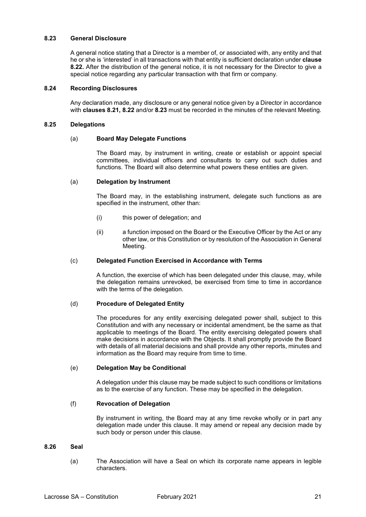#### <span id="page-23-0"></span>**8.23 General Disclosure**

A general notice stating that a Director is a member of, or associated with, any entity and that he or she is 'interested' in all transactions with that entity is sufficient declaration under **clause 8.22.** After the distribution of the general notice, it is not necessary for the Director to give a special notice regarding any particular transaction with that firm or company.

#### <span id="page-23-1"></span>**8.24 Recording Disclosures**

Any declaration made, any disclosure or any general notice given by a Director in accordance with **clauses 8.21, 8.22** and/or **8.23** must be recorded in the minutes of the relevant Meeting.

#### <span id="page-23-2"></span>**8.25 Delegations**

#### (a) **Board May Delegate Functions**

The Board may, by instrument in writing, create or establish or appoint special committees, individual officers and consultants to carry out such duties and functions. The Board will also determine what powers these entities are given.

#### (a) **Delegation by Instrument**

The Board may, in the establishing instrument, delegate such functions as are specified in the instrument, other than:

- (i) this power of delegation; and
- (ii) a function imposed on the Board or the Executive Officer by the Act or any other law, or this Constitution or by resolution of the Association in General Meeting.

#### (c) **Delegated Function Exercised in Accordance with Terms**

A function, the exercise of which has been delegated under this clause, may, while the delegation remains unrevoked, be exercised from time to time in accordance with the terms of the delegation.

#### (d) **Procedure of Delegated Entity**

The procedures for any entity exercising delegated power shall, subject to this Constitution and with any necessary or incidental amendment, be the same as that applicable to meetings of the Board. The entity exercising delegated powers shall make decisions in accordance with the Objects. It shall promptly provide the Board with details of all material decisions and shall provide any other reports, minutes and information as the Board may require from time to time.

#### (e) **Delegation May be Conditional**

A delegation under this clause may be made subject to such conditions or limitations as to the exercise of any function. These may be specified in the delegation.

#### (f) **Revocation of Delegation**

By instrument in writing, the Board may at any time revoke wholly or in part any delegation made under this clause. It may amend or repeal any decision made by such body or person under this clause.

#### <span id="page-23-3"></span>**8.26 Seal**

(a) The Association will have a Seal on which its corporate name appears in legible characters.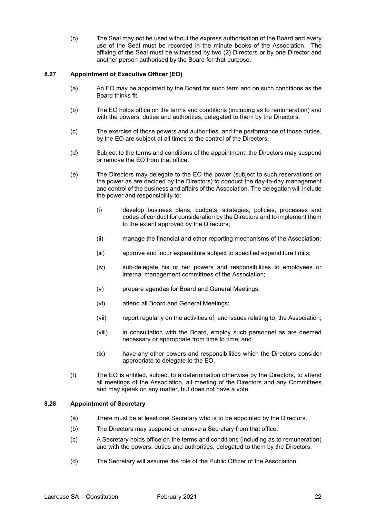(b) The Seal may not be used without the express authorisation of the Board and every use of the Seal must be recorded in the minute books of the Association. The affixing of the Seal must be witnessed by two (2) Directors or by one Director and another person authorised by the Board for that purpose.

# <span id="page-24-0"></span>**8.27 Appointment of Executive Officer (EO)**

- (a) An EO may be appointed by the Board for such term and on such conditions as the Board thinks fit.
- (b) The EO holds office on the terms and conditions (including as to remuneration) and with the powers, duties and authorities, delegated to them by the Directors.
- (c) The exercise of those powers and authorities, and the performance of those duties, by the EO are subject at all times to the control of the Directors.
- (d) Subject to the terms and conditions of the appointment, the Directors may suspend or remove the EO from that office.
- (e) The Directors may delegate to the EO the power (subject to such reservations on the power as are decided by the Directors) to conduct the day-to-day management and control of the business and affairs of the Association. The delegation will include the power and responsibility to:
	- (i) develop business plans, budgets, strategies, policies, processes and codes of conduct for consideration by the Directors and to implement them to the extent approved by the Directors;
	- (ii) manage the financial and other reporting mechanisms of the Association;
	- (iii) approve and incur expenditure subject to specified expenditure limits;
	- (iv) sub-delegate his or her powers and responsibilities to employees or internal management committees of the Association;
	- (v) prepare agendas for Board and General Meetings;
	- (vi) attend all Board and General Meetings;
	- (vii) report regularly on the activities of, and issues relating to, the Association;
	- (viii) in consultation with the Board, employ such personnel as are deemed necessary or appropriate from time to time; and
	- (ix) have any other powers and responsibilities which the Directors consider appropriate to delegate to the EO.
- (f) The EO is entitled, subject to a determination otherwise by the Directors, to attend all meetings of the Association, all meeting of the Directors and any Committees and may speak on any matter, but does not have a vote.

# <span id="page-24-1"></span>**8.28 Appointment of Secretary**

- (a) There must be at least one Secretary who is to be appointed by the Directors.
- (b) The Directors may suspend or remove a Secretary from that office.
- (c) A Secretary holds office on the terms and conditions (including as to remuneration) and with the powers, duties and authorities, delegated to them by the Directors.
- (d) The Secretary will assume the role of the Public Officer of the Association.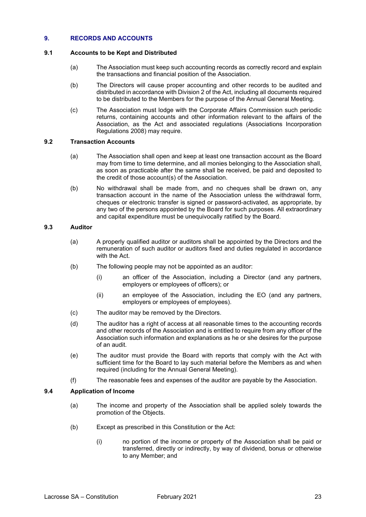# <span id="page-25-0"></span>**9. RECORDS AND ACCOUNTS**

# <span id="page-25-1"></span>**9.1 Accounts to be Kept and Distributed**

- (a) The Association must keep such accounting records as correctly record and explain the transactions and financial position of the Association.
- (b) The Directors will cause proper accounting and other records to be audited and distributed in accordance with Division 2 of the Act, including all documents required to be distributed to the Members for the purpose of the Annual General Meeting.
- (c) The Association must lodge with the Corporate Affairs Commission such periodic returns, containing accounts and other information relevant to the affairs of the Association, as the Act and associated regulations (Associations Incorporation Regulations 2008) may require.

# <span id="page-25-2"></span>**9.2 Transaction Accounts**

- (a) The Association shall open and keep at least one transaction account as the Board may from time to time determine, and all monies belonging to the Association shall, as soon as practicable after the same shall be received, be paid and deposited to the credit of those account(s) of the Association.
- (b) No withdrawal shall be made from, and no cheques shall be drawn on, any transaction account in the name of the Association unless the withdrawal form, cheques or electronic transfer is signed or password-activated, as appropriate, by any two of the persons appointed by the Board for such purposes. All extraordinary and capital expenditure must be unequivocally ratified by the Board.

#### <span id="page-25-3"></span>**9.3 Auditor**

- (a) A properly qualified auditor or auditors shall be appointed by the Directors and the remuneration of such auditor or auditors fixed and duties regulated in accordance with the Act.
- (b) The following people may not be appointed as an auditor:
	- (i) an officer of the Association, including a Director (and any partners, employers or employees of officers); or
	- (ii) an employee of the Association, including the EO (and any partners, employers or employees of employees).
- (c) The auditor may be removed by the Directors.
- (d) The auditor has a right of access at all reasonable times to the accounting records and other records of the Association and is entitled to require from any officer of the Association such information and explanations as he or she desires for the purpose of an audit.
- (e) The auditor must provide the Board with reports that comply with the Act with sufficient time for the Board to lay such material before the Members as and when required (including for the Annual General Meeting).
- (f) The reasonable fees and expenses of the auditor are payable by the Association.

# <span id="page-25-4"></span>**9.4 Application of Income**

- (a) The income and property of the Association shall be applied solely towards the promotion of the Objects.
- (b) Except as prescribed in this Constitution or the Act:
	- (i) no portion of the income or property of the Association shall be paid or transferred, directly or indirectly, by way of dividend, bonus or otherwise to any Member; and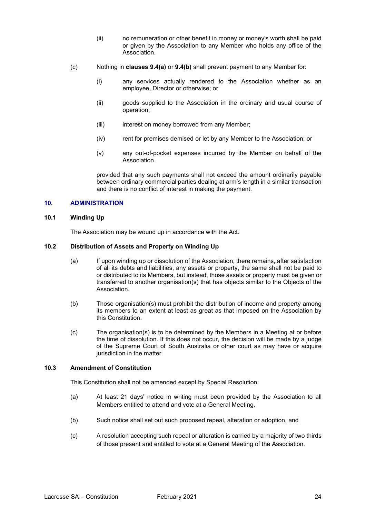- (ii) no remuneration or other benefit in money or money's worth shall be paid or given by the Association to any Member who holds any office of the Association.
- (c) Nothing in **clauses 9.4(a)** or **9.4(b)** shall prevent payment to any Member for:
	- (i) any services actually rendered to the Association whether as an employee, Director or otherwise; or
	- (ii) goods supplied to the Association in the ordinary and usual course of operation;
	- (iii) interest on money borrowed from any Member;
	- (iv) rent for premises demised or let by any Member to the Association; or
	- (v) any out-of-pocket expenses incurred by the Member on behalf of the Association.

provided that any such payments shall not exceed the amount ordinarily payable between ordinary commercial parties dealing at arm's length in a similar transaction and there is no conflict of interest in making the payment.

#### <span id="page-26-0"></span>**10. ADMINISTRATION**

#### <span id="page-26-1"></span>**10.1 Winding Up**

The Association may be wound up in accordance with the Act.

#### <span id="page-26-2"></span>**10.2 Distribution of Assets and Property on Winding Up**

- (a) If upon winding up or dissolution of the Association, there remains, after satisfaction of all its debts and liabilities, any assets or property, the same shall not be paid to or distributed to its Members, but instead, those assets or property must be given or transferred to another organisation(s) that has objects similar to the Objects of the Association.
- (b) Those organisation(s) must prohibit the distribution of income and property among its members to an extent at least as great as that imposed on the Association by this Constitution.
- (c) The organisation(s) is to be determined by the Members in a Meeting at or before the time of dissolution. If this does not occur, the decision will be made by a judge of the Supreme Court of South Australia or other court as may have or acquire jurisdiction in the matter.

#### <span id="page-26-3"></span>**10.3 Amendment of Constitution**

This Constitution shall not be amended except by Special Resolution:

- (a) At least 21 days' notice in writing must been provided by the Association to all Members entitled to attend and vote at a General Meeting.
- (b) Such notice shall set out such proposed repeal, alteration or adoption, and
- (c) A resolution accepting such repeal or alteration is carried by a majority of two thirds of those present and entitled to vote at a General Meeting of the Association.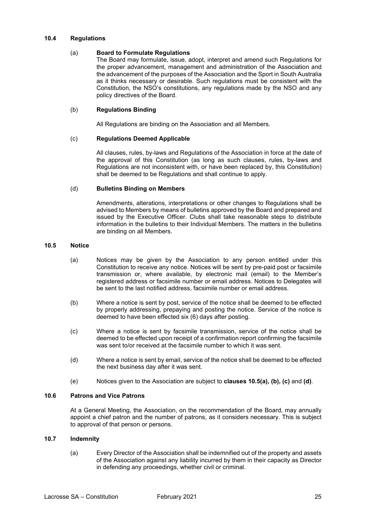#### <span id="page-27-0"></span>**10.4 Regulations**

#### (a) **Board to Formulate Regulations**

The Board may formulate, issue, adopt, interpret and amend such Regulations for the proper advancement, management and administration of the Association and the advancement of the purposes of the Association and the Sport in South Australia as it thinks necessary or desirable. Such regulations must be consistent with the Constitution, the NSO's constitutions, any regulations made by the NSO and any policy directives of the Board.

#### (b) **Regulations Binding**

All Regulations are binding on the Association and all Members.

#### (c) **Regulations Deemed Applicable**

All clauses, rules, by-laws and Regulations of the Association in force at the date of the approval of this Constitution (as long as such clauses, rules, by-laws and Regulations are not inconsistent with, or have been replaced by, this Constitution) shall be deemed to be Regulations and shall continue to apply.

#### (d) **Bulletins Binding on Members**

Amendments, alterations, interpretations or other changes to Regulations shall be advised to Members by means of bulletins approved by the Board and prepared and issued by the Executive Officer. Clubs shall take reasonable steps to distribute information in the bulletins to their Individual Members. The matters in the bulletins are binding on all Members.

#### <span id="page-27-1"></span>**10.5 Notice**

- (a) Notices may be given by the Association to any person entitled under this Constitution to receive any notice. Notices will be sent by pre-paid post or facsimile transmission or, where available, by electronic mail (email) to the Member's registered address or facsimile number or email address. Notices to Delegates will be sent to the last notified address, facsimile number or email address.
- (b) Where a notice is sent by post, service of the notice shall be deemed to be effected by properly addressing, prepaying and posting the notice. Service of the notice is deemed to have been effected six (6) days after posting.
- (c) Where a notice is sent by facsimile transmission, service of the notice shall be deemed to be effected upon receipt of a confirmation report confirming the facsimile was sent to/or received at the facsimile number to which it was sent.
- (d) Where a notice is sent by email, service of the notice shall be deemed to be effected the next business day after it was sent.
- (e) Notices given to the Association are subject to **clauses 10.5(a), (b), (c)** and **(d)**.

# <span id="page-27-2"></span>**10.6 Patrons and Vice Patrons**

At a General Meeting, the Association, on the recommendation of the Board, may annually appoint a chief patron and the number of patrons, as it considers necessary. This is subject to approval of that person or persons.

#### <span id="page-27-3"></span>**10.7 Indemnity**

(a) Every Director of the Association shall be indemnified out of the property and assets of the Association against any liability incurred by them in their capacity as Director in defending any proceedings, whether civil or criminal.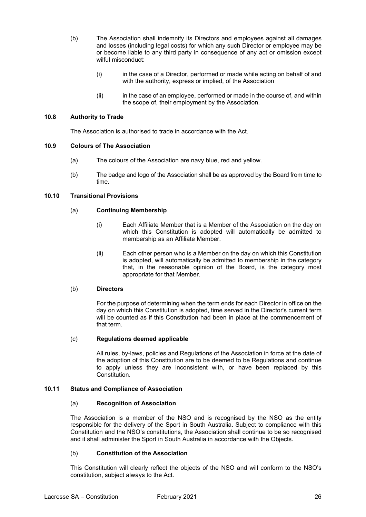- (b) The Association shall indemnify its Directors and employees against all damages and losses (including legal costs) for which any such Director or employee may be or become liable to any third party in consequence of any act or omission except wilful misconduct:
	- (i) in the case of a Director, performed or made while acting on behalf of and with the authority, express or implied, of the Association
	- (ii) in the case of an employee, performed or made in the course of, and within the scope of, their employment by the Association.

# <span id="page-28-0"></span>**10.8 Authority to Trade**

The Association is authorised to trade in accordance with the Act.

#### <span id="page-28-1"></span>**10.9 Colours of The Association**

- (a) The colours of the Association are navy blue, red and yellow.
- (b) The badge and logo of the Association shall be as approved by the Board from time to time.

#### <span id="page-28-2"></span>**10.10 Transitional Provisions**

#### (a) **Continuing Membership**

- (i) Each Affiliate Member that is a Member of the Association on the day on which this Constitution is adopted will automatically be admitted to membership as an Affiliate Member.
- (ii) Each other person who is a Member on the day on which this Constitution is adopted, will automatically be admitted to membership in the category that, in the reasonable opinion of the Board, is the category most appropriate for that Member.

#### (b) **Directors**

For the purpose of determining when the term ends for each Director in office on the day on which this Constitution is adopted, time served in the Director's current term will be counted as if this Constitution had been in place at the commencement of that term.

# (c) **Regulations deemed applicable**

All rules, by-laws, policies and Regulations of the Association in force at the date of the adoption of this Constitution are to be deemed to be Regulations and continue to apply unless they are inconsistent with, or have been replaced by this Constitution.

#### <span id="page-28-3"></span>**10.11 Status and Compliance of Association**

#### (a) **Recognition of Association**

The Association is a member of the NSO and is recognised by the NSO as the entity responsible for the delivery of the Sport in South Australia. Subject to compliance with this Constitution and the NSO's constitutions, the Association shall continue to be so recognised and it shall administer the Sport in South Australia in accordance with the Objects.

# (b) **Constitution of the Association**

This Constitution will clearly reflect the objects of the NSO and will conform to the NSO's constitution, subject always to the Act.